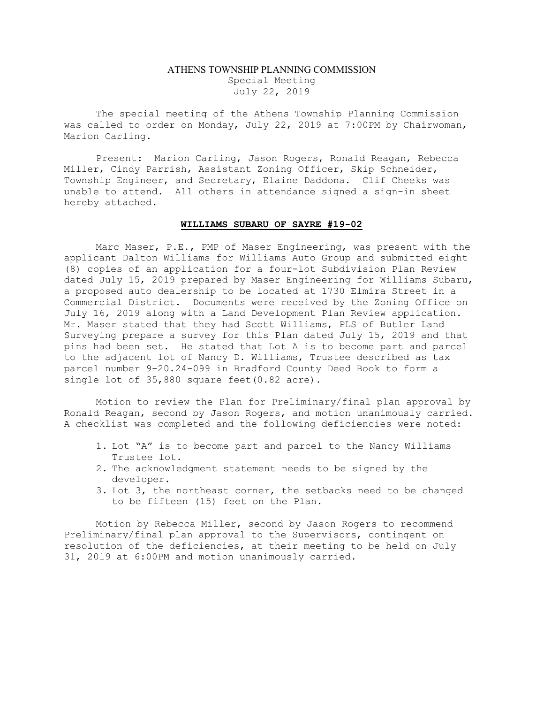## ATHENS TOWNSHIP PLANNING COMMISSION Special Meeting July 22, 2019

The special meeting of the Athens Township Planning Commission was called to order on Monday, July 22, 2019 at 7:00PM by Chairwoman, Marion Carling.

Present: Marion Carling, Jason Rogers, Ronald Reagan, Rebecca Miller, Cindy Parrish, Assistant Zoning Officer, Skip Schneider, Township Engineer, and Secretary, Elaine Daddona. Clif Cheeks was unable to attend. All others in attendance signed a sign-in sheet hereby attached.

## WILLIAMS SUBARU OF SAYRE #19-02

 Marc Maser, P.E., PMP of Maser Engineering, was present with the applicant Dalton Williams for Williams Auto Group and submitted eight (8) copies of an application for a four-lot Subdivision Plan Review dated July 15, 2019 prepared by Maser Engineering for Williams Subaru, a proposed auto dealership to be located at 1730 Elmira Street in a Commercial District. Documents were received by the Zoning Office on July 16, 2019 along with a Land Development Plan Review application. Mr. Maser stated that they had Scott Williams, PLS of Butler Land Surveying prepare a survey for this Plan dated July 15, 2019 and that pins had been set. He stated that Lot A is to become part and parcel to the adjacent lot of Nancy D. Williams, Trustee described as tax parcel number 9-20.24-099 in Bradford County Deed Book to form a single lot of 35,880 square feet(0.82 acre).

 Motion to review the Plan for Preliminary/final plan approval by Ronald Reagan, second by Jason Rogers, and motion unanimously carried. A checklist was completed and the following deficiencies were noted:

- 1. Lot "A" is to become part and parcel to the Nancy Williams Trustee lot.
- 2. The acknowledgment statement needs to be signed by the developer.
- 3. Lot 3, the northeast corner, the setbacks need to be changed to be fifteen (15) feet on the Plan.

Motion by Rebecca Miller, second by Jason Rogers to recommend Preliminary/final plan approval to the Supervisors, contingent on resolution of the deficiencies, at their meeting to be held on July 31, 2019 at 6:00PM and motion unanimously carried.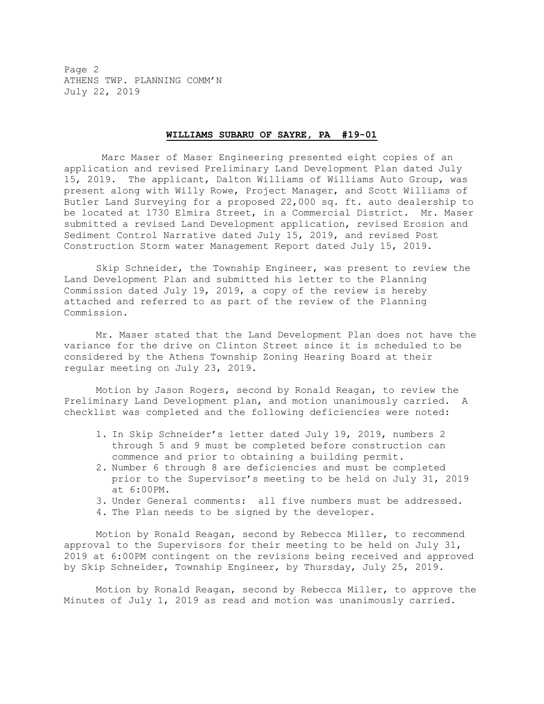Page 2 ATHENS TWP. PLANNING COMM'N July 22, 2019

## WILLIAMS SUBARU OF SAYRE, PA #19-01

 Marc Maser of Maser Engineering presented eight copies of an application and revised Preliminary Land Development Plan dated July 15, 2019. The applicant, Dalton Williams of Williams Auto Group, was present along with Willy Rowe, Project Manager, and Scott Williams of Butler Land Surveying for a proposed 22,000 sq. ft. auto dealership to be located at 1730 Elmira Street, in a Commercial District. Mr. Maser submitted a revised Land Development application, revised Erosion and Sediment Control Narrative dated July 15, 2019, and revised Post Construction Storm water Management Report dated July 15, 2019.

Skip Schneider, the Township Engineer, was present to review the Land Development Plan and submitted his letter to the Planning Commission dated July 19, 2019, a copy of the review is hereby attached and referred to as part of the review of the Planning Commission.

Mr. Maser stated that the Land Development Plan does not have the variance for the drive on Clinton Street since it is scheduled to be considered by the Athens Township Zoning Hearing Board at their regular meeting on July 23, 2019.

Motion by Jason Rogers, second by Ronald Reagan, to review the Preliminary Land Development plan, and motion unanimously carried. A checklist was completed and the following deficiencies were noted:

- 1. In Skip Schneider's letter dated July 19, 2019, numbers 2 through 5 and 9 must be completed before construction can commence and prior to obtaining a building permit.
- 2. Number 6 through 8 are deficiencies and must be completed prior to the Supervisor's meeting to be held on July 31, 2019 at 6:00PM.
- 3. Under General comments: all five numbers must be addressed.
- 4. The Plan needs to be signed by the developer.

Motion by Ronald Reagan, second by Rebecca Miller, to recommend approval to the Supervisors for their meeting to be held on July 31, 2019 at 6:00PM contingent on the revisions being received and approved by Skip Schneider, Township Engineer, by Thursday, July 25, 2019.

Motion by Ronald Reagan, second by Rebecca Miller, to approve the Minutes of July 1, 2019 as read and motion was unanimously carried.